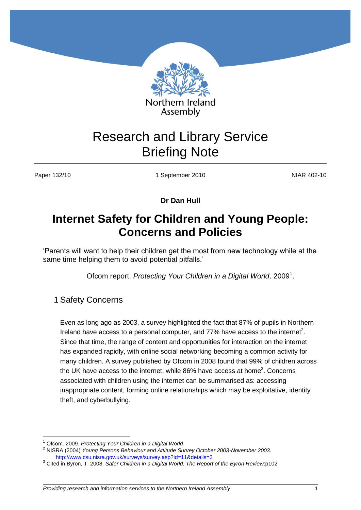

# Research and Library Service Briefing Note

Paper 132/10 **1 September 2010** 1 September 2010

**Dr Dan Hull**

## **Internet Safety for Children and Young People: Concerns and Policies**

'Parents will want to help their children get the most from new technology while at the same time helping them to avoid potential pitfalls.'

Ofcom report. Protecting Your Children in a Digital World. 2009<sup>1</sup>.

1 Safety Concerns

Even as long ago as 2003, a survey highlighted the fact that 87% of pupils in Northern Ireland have access to a personal computer, and  $77\%$  have access to the internet<sup>2</sup>. Since that time, the range of content and opportunities for interaction on the internet has expanded rapidly, with online social networking becoming a common activity for many children. A survey published by Ofcom in 2008 found that 99% of children across the UK have access to the internet, while 86% have access at home<sup>3</sup>. Concerns associated with children using the internet can be summarised as: accessing inappropriate content, forming online relationships which may be exploitative, identity theft, and cyberbullying.

 $\overline{a}$ <sup>1</sup> Ofcom. 2009. *Protecting Your Children in a Digital World*.

<sup>2</sup> NISRA (2004) *Young Persons Behaviour and Attitude Survey October 2003-November 2003*. <http://www.csu.nisra.gov.uk/surveys/survey.asp?id=11&details=3>

<sup>3</sup> Cited in Byron, T. 2008. *Safer Children in a Digital World: The Report of the Byron Review*:p102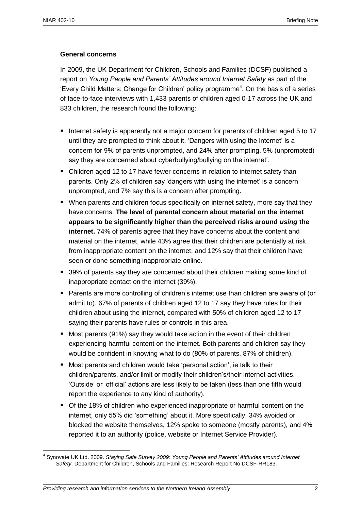#### **General concerns**

In 2009, the UK Department for Children, Schools and Families (DCSF) published a report on *Young People and Parents' Attitudes around Internet Safety* as part of the 'Every Child Matters: Change for Children' policy programme<sup>4</sup>. On the basis of a series of face-to-face interviews with 1,433 parents of children aged 0-17 across the UK and 833 children, the research found the following:

- Internet safety is apparently not a major concern for parents of children aged 5 to 17 until they are prompted to think about it. 'Dangers with using the internet' is a concern for 9% of parents unprompted, and 24% after prompting. 5% (unprompted) say they are concerned about cyberbullying/bullying on the internet'.
- Children aged 12 to 17 have fewer concerns in relation to internet safety than parents. Only 2% of children say 'dangers with using the internet' is a concern unprompted, and 7% say this is a concern after prompting.
- When parents and children focus specifically on internet safety, more say that they have concerns. **The level of parental concern about material** *on* **the internet appears to be significantly higher than the perceived risks around** *using* **the internet.** 74% of parents agree that they have concerns about the content and material on the internet, while 43% agree that their children are potentially at risk from inappropriate content on the internet, and 12% say that their children have seen or done something inappropriate online.
- 39% of parents say they are concerned about their children making some kind of inappropriate contact on the internet (39%).
- **Parents are more controlling of children's internet use than children are aware of (or** admit to). 67% of parents of children aged 12 to 17 say they have rules for their children about using the internet, compared with 50% of children aged 12 to 17 saying their parents have rules or controls in this area.**1**
- **Most parents (91%) say they would take action in the event of their children** experiencing harmful content on the internet. Both parents and children say they would be confident in knowing what to do (80% of parents, 87% of children).
- Most parents and children would take 'personal action', ie talk to their children/parents, and/or limit or modify their children's/their internet activities. 'Outside' or 'official' actions are less likely to be taken (less than one fifth would report the experience to any kind of authority).
- Of the 18% of children who experienced inappropriate or harmful content on the internet, only 55% did 'something' about it. More specifically, 34% avoided or blocked the website themselves, 12% spoke to someone (mostly parents), and 4% reported it to an authority (police, website or Internet Service Provider).

 $\overline{a}$ 4 Synovate UK Ltd. 2009. *Staying Safe Survey 2009: Young People and Parents' Attitudes around Internet Safety*. Department for Children, Schools and Families: Research Report No DCSF-RR183.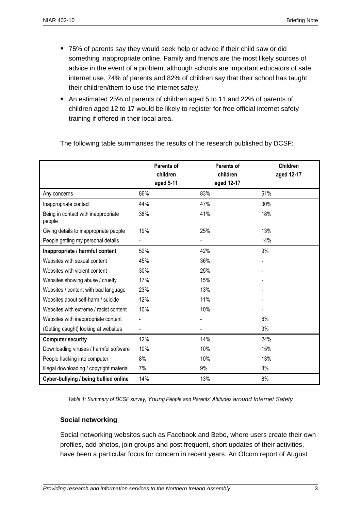- 75% of parents say they would seek help or advice if their child saw or did something inappropriate online. Family and friends are the most likely sources of advice in the event of a problem, although schools are important educators of safe internet use. 74% of parents and 82% of children say that their school has taught their children/them to use the internet safely.
- An estimated 25% of parents of children aged 5 to 11 and 22% of parents of children aged 12 to 17 would be likely to register for free official internet safety training if offered in their local area.

|                                               | Parents of<br>children<br>aged 5-11 | Parents of<br>children<br>aged 12-17 | <b>Children</b><br>aged 12-17 |
|-----------------------------------------------|-------------------------------------|--------------------------------------|-------------------------------|
| Any concerns                                  | 86%                                 | 83%                                  | 61%                           |
| Inappropriate contact                         | 44%                                 | 47%                                  | 30%                           |
| Being in contact with inappropriate<br>people | 38%                                 | 41%                                  | 18%                           |
| Giving details to inappropriate people        | 19%                                 | 25%                                  | 13%                           |
| People getting my personal details            |                                     |                                      | 14%                           |
| Inappropriate / harmful content               | 52%                                 | 42%                                  | 9%                            |
| Websites with sexual content                  | 45%                                 | 36%                                  |                               |
| Websites with violent content                 | 30%                                 | 25%                                  |                               |
| Websites showing abuse / cruelty              | 17%                                 | 15%                                  |                               |
| Websites / content with bad language          | 23%                                 | 13%                                  |                               |
| Websites about self-harm / suicide            | 12%                                 | 11%                                  |                               |
| Websites with extreme / racist content        | 10%                                 | 10%                                  |                               |
| Websites with inappropriate content           |                                     |                                      | 6%                            |
| (Getting caught) looking at websites          |                                     |                                      | 3%                            |
| <b>Computer security</b>                      | 12%                                 | 14%                                  | 24%                           |
| Downloading viruses / harmful software        | 10%                                 | 10%                                  | 15%                           |
| People hacking into computer                  | 8%                                  | 10%                                  | 13%                           |
| Illegal downloading / copyright material      | 7%                                  | 9%                                   | 3%                            |
| Cyber-bullying / being bullied online         | 14%                                 | 13%                                  | 8%                            |

The following table summarises the results of the research published by DCSF:

*Table 1: Summary of DCSF survey, Young People and Parents' Attitudes around Internet Safety*

#### **Social networking**

Social networking websites such as Facebook and Bebo, where users create their own profiles, add photos, join groups and post frequent, short updates of their activities, have been a particular focus for concern in recent years. An Ofcom report of August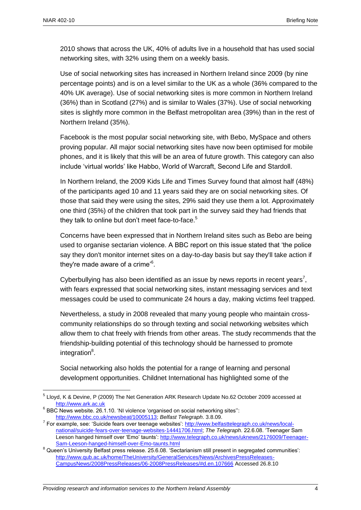$\overline{a}$ 

2010 shows that across the UK, 40% of adults live in a household that has used social networking sites, with 32% using them on a weekly basis.

Use of social networking sites has increased in Northern Ireland since 2009 (by nine percentage points) and is on a level similar to the UK as a whole (36% compared to the 40% UK average). Use of social networking sites is more common in Northern Ireland (36%) than in Scotland (27%) and is similar to Wales (37%). Use of social networking sites is slightly more common in the Belfast metropolitan area (39%) than in the rest of Northern Ireland (35%).

Facebook is the most popular social networking site, with Bebo, MySpace and others proving popular. All major social networking sites have now been optimised for mobile phones, and it is likely that this will be an area of future growth. This category can also include 'virtual worlds' like Habbo, World of Warcraft, Second Life and Stardoll.

In Northern Ireland, the 2009 Kids Life and Times Survey found that almost half (48%) of the participants aged 10 and 11 years said they are on social networking sites. Of those that said they were using the sites, 29% said they use them a lot. Approximately one third (35%) of the children that took part in the survey said they had friends that they talk to online but don't meet face-to-face.<sup>5</sup>

Concerns have been expressed that in Northern Ireland sites such as Bebo are being used to organise sectarian violence. A BBC report on this issue stated that 'the police say they don't monitor internet sites on a day-to-day basis but say they'll take action if they're made aware of a crime<sup>®</sup>.

Cyberbullying has also been identified as an issue by news reports in recent years<sup>7</sup>, with fears expressed that social networking sites, instant messaging services and text messages could be used to communicate 24 hours a day, making victims feel trapped.

Nevertheless, a study in 2008 revealed that many young people who maintain crosscommunity relationships do so through texting and social networking websites which allow them to chat freely with friends from other areas. The study recommends that the friendship-building potential of this technology should be harnessed to promote integration<sup>8</sup>.

Social networking also holds the potential for a range of learning and personal development opportunities. Childnet International has highlighted some of the

<sup>&</sup>lt;sup>5</sup> Lloyd, K & Devine, P (2009) The Net Generation ARK Research Update No.62 October 2009 accessed at [http://www.ark.ac.uk](http://www.ark.ac.uk/)

 $6$  BBC News website. 26.1.10. 'NI violence 'organised on social networking sites": [http://www.bbc.co.uk/newsbeat/10005113;](http://www.bbc.co.uk/newsbeat/10005113) *Belfast Telegraph*. 3.8.09.

<sup>&</sup>lt;sup>7</sup> For example, see: 'Suicide fears over teenage websites': [http://www.belfasttelegraph.co.uk/news/local](http://www.belfasttelegraph.co.uk/news/local-national/suicide-fears-over-teenage-websites-14441706.html)[national/suicide-fears-over-teenage-websites-14441706.html;](http://www.belfasttelegraph.co.uk/news/local-national/suicide-fears-over-teenage-websites-14441706.html) *The Telegraph*. 22.6.08. 'Teenager Sam Leeson hanged himself over 'Emo' taunts': [http://www.telegraph.co.uk/news/uknews/2176009/Teenager-](http://www.telegraph.co.uk/news/uknews/2176009/Teenager-Sam-Leeson-hanged-himself-over-Emo-taunts.html)[Sam-Leeson-hanged-himself-over-Emo-taunts.html](http://www.telegraph.co.uk/news/uknews/2176009/Teenager-Sam-Leeson-hanged-himself-over-Emo-taunts.html)

<sup>&</sup>lt;sup>8</sup> Queen's University Belfast press release. 25.6.08. 'Sectarianism still present in segregated communities': [http://www.qub.ac.uk/home/TheUniversity/GeneralServices/News/ArchivesPressReleases-](http://www.qub.ac.uk/home/TheUniversity/GeneralServices/News/ArchivesPressReleases-CampusNews/2008PressReleases/06-2008PressReleases/#d.en.107666)[CampusNews/2008PressReleases/06-2008PressReleases/#d.en.107666](http://www.qub.ac.uk/home/TheUniversity/GeneralServices/News/ArchivesPressReleases-CampusNews/2008PressReleases/06-2008PressReleases/#d.en.107666) Accessed 26.8.10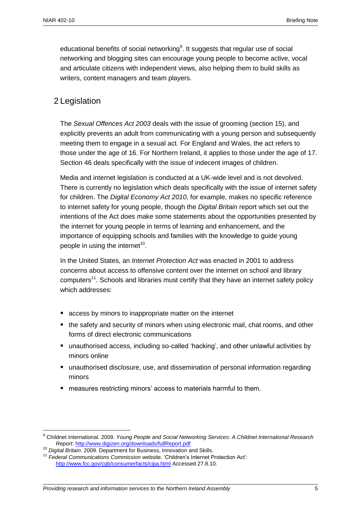educational benefits of social networking<sup>9</sup>. It suggests that regular use of social networking and blogging sites can encourage young people to become active, vocal and articulate citizens with independent views, also helping them to build skills as writers, content managers and team players.

## 2 Legislation

The *Sexual Offences Act 2003* deals with the issue of grooming (section 15), and explicitly prevents an adult from communicating with a young person and subsequently meeting them to engage in a sexual act. For England and Wales, the act refers to those under the age of 16. For Northern Ireland, it applies to those under the age of 17. Section 46 deals specifically with the issue of indecent images of children.

Media and internet legislation is conducted at a UK-wide level and is not devolved. There is currently no legislation which deals specifically with the issue of internet safety for children. The *Digital Economy Act 2010*, for example, makes no specific reference to internet safety for young people, though the *Digital Britain* report which set out the intentions of the Act does make some statements about the opportunities presented by the internet for young people in terms of learning and enhancement, and the importance of equipping schools and families with the knowledge to guide young people in using the internet<sup>10</sup>.

In the United States, an *Internet Protection Act* was enacted in 2001 to address concerns about access to offensive content over the internet on school and library computers<sup>11</sup>. Schools and libraries must certify that they have an internet safety policy which addresses:

- **E** access by minors to inappropriate matter on the internet
- the safety and security of minors when using electronic mail, chat rooms, and other forms of direct electronic communications
- unauthorised access, including so-called 'hacking', and other unlawful activities by minors online
- unauthorised disclosure, use, and dissemination of personal information regarding minors
- measures restricting minors' access to materials harmful to them.

 $\overline{a}$ <sup>9</sup> Childnet International. 2009. *Young People and Social Networking Services: A Childnet International Research Report*:<http://www.digizen.org/downloads/fullReport.pdf>

<sup>10</sup> *Digital Britain*. 2009. Department for Business, Innovation and Skills.

<sup>11</sup> *Federal Communications Commission* website. 'Children's Internet Protection Act': <http://www.fcc.gov/cgb/consumerfacts/cipa.html> Accessed 27.8.10.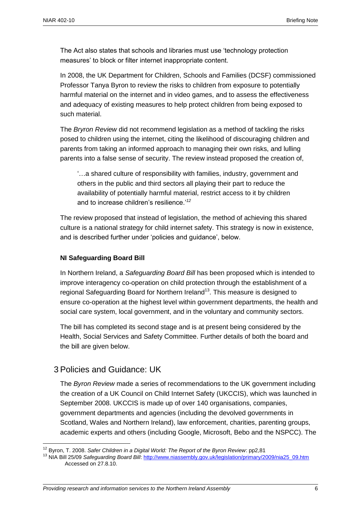The Act also states that schools and libraries must use 'technology protection measures' to block or filter internet inappropriate content.

In 2008, the UK Department for Children, Schools and Families (DCSF) commissioned Professor Tanya Byron to review the risks to children from exposure to potentially harmful material on the internet and in video games, and to assess the effectiveness and adequacy of existing measures to help protect children from being exposed to such material.

The *Bryron Review* did not recommend legislation as a method of tackling the risks posed to children using the internet, citing the likelihood of discouraging children and parents from taking an informed approach to managing their own risks, and lulling parents into a false sense of security. The review instead proposed the creation of,

'…a shared culture of responsibility with families, industry, government and others in the public and third sectors all playing their part to reduce the availability of potentially harmful material, restrict access to it by children and to increase children's resilience.'*<sup>12</sup>*

The review proposed that instead of legislation, the method of achieving this shared culture is a national strategy for child internet safety. This strategy is now in existence, and is described further under 'policies and guidance', below.

#### **NI Safeguarding Board Bill**

In Northern Ireland, a *Safeguarding Board Bill* has been proposed which is intended to improve interagency co-operation on child protection through the establishment of a regional Safeguarding Board for Northern Ireland<sup>13</sup>. This measure is designed to ensure co-operation at the highest level within government departments, the health and social care system, local government, and in the voluntary and community sectors.

The bill has completed its second stage and is at present being considered by the Health, Social Services and Safety Committee. Further details of both the board and the bill are given below.

## 3 Policies and Guidance: UK

 $\overline{a}$ 

The *Byron Review* made a series of recommendations to the UK government including the creation of a UK Council on Child Internet Safety (UKCCIS), which was launched in September 2008. UKCCIS is made up of over 140 organisations, companies, government departments and agencies (including the devolved governments in Scotland, Wales and Northern Ireland), law enforcement, charities, parenting groups, academic experts and others (including Google, Microsoft, Bebo and the NSPCC). The

<sup>12</sup> Byron, T. 2008. *Safer Children in a Digital World: The Report of the Byron Review*: pp2,81

<sup>13</sup> NIA Bill 25/09 *Safeguarding Board Bill*[: http://www.niassembly.gov.uk/legislation/primary/2009/nia25\\_09.htm](http://www.niassembly.gov.uk/legislation/primary/2009/nia25_09.htm) Accessed on 27.8.10.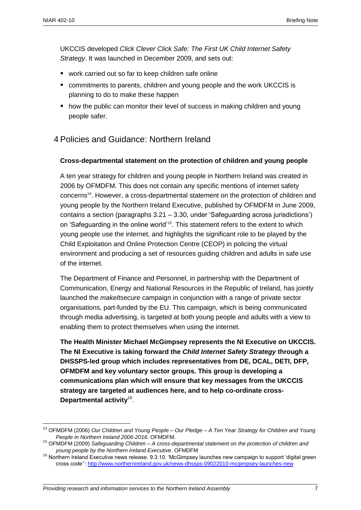$\overline{a}$ 

UKCCIS developed *Click Clever Click Safe: The First UK Child Internet Safety Strategy*. It was launched in December 2009, and sets out:

- work carried out so far to keep children safe online
- commitments to parents, children and young people and the work UKCCIS is planning to do to make these happen
- **how the public can monitor their level of success in making children and voung** people safer.

## 4 Policies and Guidance: Northern Ireland

#### **Cross-departmental statement on the protection of children and young people**

A ten year strategy for children and young people in Northern Ireland was created in 2006 by OFMDFM. This does not contain any specific mentions of internet safety concerns<sup>14</sup>. However, a cross-departmental statement on the protection of children and young people by the Northern Ireland Executive, published by OFMDFM in June 2009, contains a section (paragraphs 3.21 – 3.30, under 'Safeguarding across jurisdictions') on 'Safeguarding in the online world'<sup>15</sup>. This statement refers to the extent to which young people use the internet, and highlights the significant role to be played by the Child Exploitation and Online Protection Centre (CEOP) in policing the virtual environment and producing a set of resources guiding children and adults in safe use of the internet.

The Department of Finance and Personnel, in partnership with the Department of Communication, Energy and National Resources in the Republic of Ireland, has jointly launched the *makeItsecure* campaign in conjunction with a range of private sector organisations, part-funded by the EU. This campaign, which is being communicated through media advertising, is targeted at both young people and adults with a view to enabling them to protect themselves when using the internet.

**The Health Minister Michael McGimpsey represents the NI Executive on UKCCIS. The NI Executive is taking forward the** *Child Internet Safety Strategy* **through a DHSSPS-led group which includes representatives from DE, DCAL, DETI, DFP, OFMDFM and key voluntary sector groups. This group is developing a communications plan which will ensure that key messages from the UKCCIS strategy are targeted at audiences here, and to help co-ordinate cross-Departmental activity**<sup>16</sup> .

<sup>14</sup> OFMDFM (2006) *Our Children and Young People – Our Pledge – A Ten Year Strategy for Children and Young People in Northern Ireland 2006-2016*. OFMDFM.

<sup>15</sup> OFMDFM (2009) *Safeguarding Children – A cross-departmental statement on the protection of children and young people by the Northern Ireland Executive*. OFMDFM

<sup>&</sup>lt;sup>16</sup> Northern Ireland Executive news release. 9.3.10. 'McGimpsey launches new campaign to support 'digital green cross code''[: http://www.northernireland.gov.uk/news-dhssps-09022010-mcgimpsey-launches-new](http://www.northernireland.gov.uk/news-dhssps-09022010-mcgimpsey-launches-new)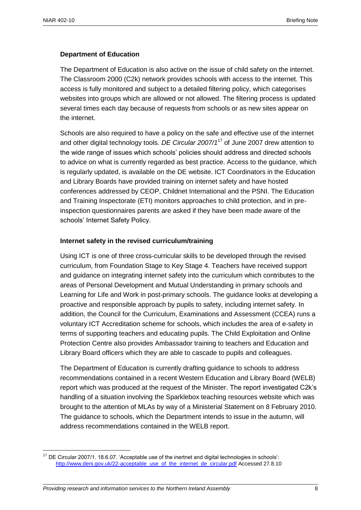#### **Department of Education**

The Department of Education is also active on the issue of child safety on the internet. The Classroom 2000 (C2k) network provides schools with access to the internet. This access is fully monitored and subject to a detailed filtering policy, which categorises websites into groups which are allowed or not allowed. The filtering process is updated several times each day because of requests from schools or as new sites appear on the internet.

Schools are also required to have a policy on the safe and effective use of the internet and other digital technology tools. *DE Circular 2007/1*<sup>17</sup> of June 2007 drew attention to the wide range of issues which schools' policies should address and directed schools to advice on what is currently regarded as best practice. Access to the guidance, which is regularly updated, is available on the DE website. ICT Coordinators in the Education and Library Boards have provided training on internet safety and have hosted conferences addressed by CEOP, Childnet International and the PSNI. The Education and Training Inspectorate (ETI) monitors approaches to child protection, and in preinspection questionnaires parents are asked if they have been made aware of the schools' Internet Safety Policy.

#### **Internet safety in the revised curriculum/training**

Using ICT is one of three cross-curricular skills to be developed through the revised curriculum, from Foundation Stage to Key Stage 4. Teachers have received support and guidance on integrating internet safety into the curriculum which contributes to the areas of Personal Development and Mutual Understanding in primary schools and Learning for Life and Work in post-primary schools. The guidance looks at developing a proactive and responsible approach by pupils to safety, including internet safety. In addition, the Council for the Curriculum, Examinations and Assessment (CCEA) runs a voluntary ICT Accreditation scheme for schools, which includes the area of e-safety in terms of supporting teachers and educating pupils. The Child Exploitation and Online Protection Centre also provides Ambassador training to teachers and Education and Library Board officers which they are able to cascade to pupils and colleagues.

The Department of Education is currently drafting guidance to schools to address recommendations contained in a recent Western Education and Library Board (WELB) report which was produced at the request of the Minister. The report investigated C2k's handling of a situation involving the Sparklebox teaching resources website which was brought to the attention of MLAs by way of a Ministerial Statement on 8 February 2010. The guidance to schools, which the Department intends to issue in the autumn, will address recommendations contained in the WELB report.

 $\overline{a}$ <sup>17</sup> DE Circular 2007/1. 18.6.07. 'Acceptable use of the inertnet and digital technologies in schools': [http://www.deni.gov.uk/22-acceptable\\_use\\_of\\_the\\_internet\\_de\\_circular.pdf](http://www.deni.gov.uk/22-acceptable_use_of_the_internet_de_circular.pdf) Accessed 27.8.10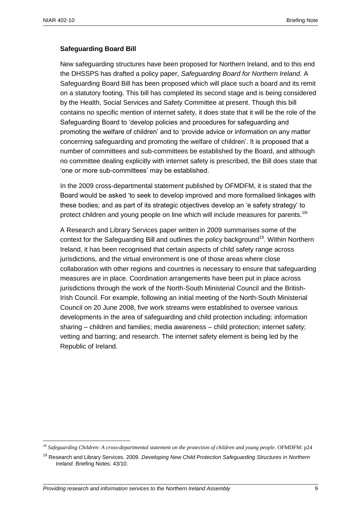#### **Safeguarding Board Bill**

New safeguarding structures have been proposed for Northern Ireland, and to this end the DHSSPS has drafted a policy paper, *Safeguarding Board for Northern Ireland*. A Safeguarding Board Bill has been proposed which will place such a board and its remit on a statutory footing. This bill has completed its second stage and is being considered by the Health, Social Services and Safety Committee at present. Though this bill contains no specific mention of internet safety, it does state that it will be the role of the Safeguarding Board to 'develop policies and procedures for safeguarding and promoting the welfare of children' and to 'provide advice or information on any matter concerning safeguarding and promoting the welfare of children'. It is proposed that a number of committees and sub-committees be established by the Board, and although no committee dealing explicitly with internet safety is prescribed, the Bill does state that 'one or more sub-committees' may be established.

In the 2009 cross-departmental statement published by OFMDFM, it is stated that the Board would be asked 'to seek to develop improved and more formalised linkages with these bodies; and as part of its strategic objectives develop an 'e safety strategy' to protect children and young people on line which will include measures for parents.<sup>18</sup>'

A Research and Library Services paper written in 2009 summarises some of the context for the Safeguarding Bill and outlines the policy background<sup>19</sup>. Within Northern Ireland, it has been recognised that certain aspects of child safety range across jurisdictions, and the virtual environment is one of those areas where close collaboration with other regions and countries is necessary to ensure that safeguarding measures are in place. Coordination arrangements have been put in place across jurisdictions through the work of the North-South Ministerial Council and the British-Irish Council. For example, following an initial meeting of the North-South Ministerial Council on 20 June 2008, five work streams were established to oversee various developments in the area of safeguarding and child protection including: information sharing – children and families; media awareness – child protection; internet safety; vetting and barring; and research. The internet safety element is being led by the Republic of Ireland.

 $\overline{a}$ <sup>18</sup> *Safeguarding Children: A cross-departmental statement on the protection of children and young people*. OFMDFM: p24

<sup>19</sup> Research and Library Services. 2009. *Developing New Child Protection Safeguarding Structures in Northern Ireland*. Briefing Notes: 43/10.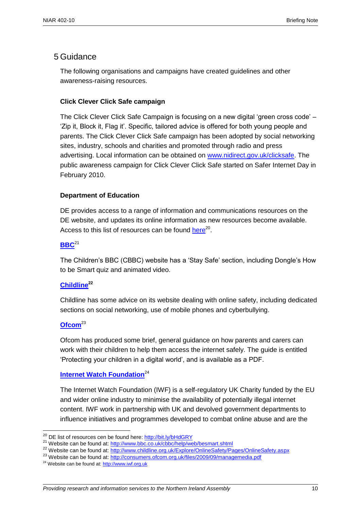## 5 Guidance

The following organisations and campaigns have created guidelines and other awareness-raising resources.

#### **Click Clever Click Safe campaign**

The Click Clever Click Safe Campaign is focusing on a new digital 'green cross code' – 'Zip it, Block it, Flag it'. Specific, tailored advice is offered for both young people and parents. The Click Clever Click Safe campaign has been adopted by social networking sites, industry, schools and charities and promoted through radio and press advertising. Local information can be obtained on [www.nidirect.gov.uk/clicksafe.](http://www.nidirect.gov.uk/clicksafe) The public awareness campaign for Click Clever Click Safe started on Safer Internet Day in February 2010.

#### **Department of Education**

DE provides access to a range of information and communications resources on the DE website, and updates its online information as new resources become available. Access to this list of resources can be found [here](http://www.deni.gov.uk/index/85-schools/15_ict_in_schools/15_schools_internet_policy_pg.htm)<sup>20</sup>.

#### **[BBC](http://www.bbc.co.uk/cbbc/help/web/besmart.shtml)**<sup>21</sup>

The Children's BBC (CBBC) website has a 'Stay Safe' section, including Dongle's How to be Smart quiz and animated video.

#### **[Childline](http://www.childline.org.uk/Explore/OnlineSafety/Pages/OnlineSafety.aspx)<sup>22</sup>**

Childline has some advice on its website dealing with online safety, including dedicated sections on social networking, use of mobile phones and cyberbullying.

#### **[Ofcom](http://consumers.ofcom.org.uk/files/2009/09/managemedia.pdf)**<sup>23</sup>

 $\overline{a}$ 

Ofcom has produced some brief, general guidance on how parents and carers can work with their children to help them access the internet safely. The guide is entitled 'Protecting your children in a digital world', and is available as a PDF.

#### **[Internet Watch Foundation](http://www.iwf.org.uk/)**<sup>24</sup>

The Internet Watch Foundation (IWF) is a self-regulatory UK Charity funded by the EU and wider online industry to minimise the availability of potentially illegal internet content. IWF work in partnership with UK and devolved government departments to influence initiatives and programmes developed to combat online abuse and are the

<sup>&</sup>lt;sup>20</sup> DE list of resources cen be found here:<http://bit.ly/bHdGRY>

<sup>&</sup>lt;sup>21</sup> Website can be found at:<http://www.bbc.co.uk/cbbc/help/web/besmart.shtml>

<sup>&</sup>lt;sup>22</sup> Website can be found at:<http://www.childline.org.uk/Explore/OnlineSafety/Pages/OnlineSafety.aspx>

<sup>&</sup>lt;sup>23</sup> Website can be found at:<http://consumers.ofcom.org.uk/files/2009/09/managemedia.pdf>

<sup>&</sup>lt;sup>24</sup> Website can be found at[: http://www.iwf.org.uk](http://www.iwf.org.uk/)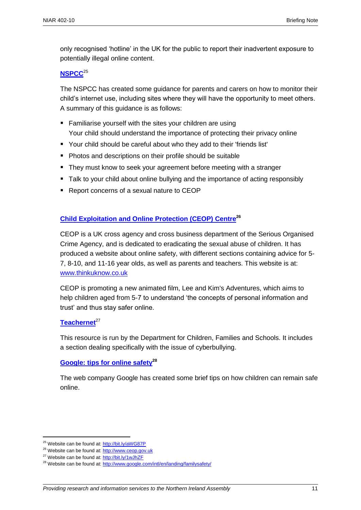only recognised 'hotline' in the UK for the public to report their inadvertent exposure to potentially illegal online content.

#### **[NSPCC](http://www.nspcc.org.uk/help-and-advice/for-parents-and-carers/internet-safety/internet-safety_wdh72864.html)**<sup>25</sup>

The NSPCC has created some guidance for parents and carers on how to monitor their child's internet use, including sites where they will have the opportunity to meet others. A summary of this guidance is as follows:

- **Familiarise yourself with the sites your children are using** Your child should understand the importance of protecting their privacy online
- Your child should be careful about who they add to their 'friends list'
- Photos and descriptions on their profile should be suitable
- **They must know to seek your agreement before meeting with a stranger**
- Talk to your child about online bullying and the importance of acting responsibly
- Report concerns of a sexual nature to CEOP

#### **[Child Exploitation and Online Protection \(CEOP\) Centre](http://www.ceop.gov.uk/)<sup>26</sup>**

CEOP is a UK cross agency and cross business department of the Serious Organised Crime Agency, and is dedicated to eradicating the sexual abuse of children. It has produced a website about online safety, with different sections containing advice for 5- 7, 8-10, and 11-16 year olds, as well as parents and teachers. This website is at: [www.thinkuknow.co.uk](http://www.thinkuknow.co.uk/)

CEOP is promoting a new animated film, Lee and Kim's Adventures, which aims to help children aged from 5-7 to understand 'the concepts of personal information and trust' and thus stay safer online.

#### [Teachernet](http://www.teachernet.gov.uk/wholeschool/behaviour/tacklingbullying/cyberbullying)<sup>27</sup>

This resource is run by the Department for Children, Families and Schools. It includes a section dealing specifically with the issue of cyberbullying.

#### **[Google: tips for online safety](http://www.google.com/intl/en/landing/familysafety)<sup>28</sup>**

The web company Google has created some brief tips on how children can remain safe online.

 $\overline{a}$ 

<sup>&</sup>lt;sup>25</sup> Website can be found at[: http://bit.ly/aWG87P](http://bit.ly/aWG87P)

<sup>&</sup>lt;sup>26</sup> Website can be found at[: http://www.ceop.gov.uk](http://www.ceop.gov.uk/)

<sup>&</sup>lt;sup>27</sup> Website can be found at[: http://bit.ly/1wJhZF](http://bit.ly/1wJhZF)

<sup>&</sup>lt;sup>28</sup> Website can be found at[: http://www.google.com/intl/en/landing/familysafety/](http://www.google.com/intl/en/landing/familysafety/)